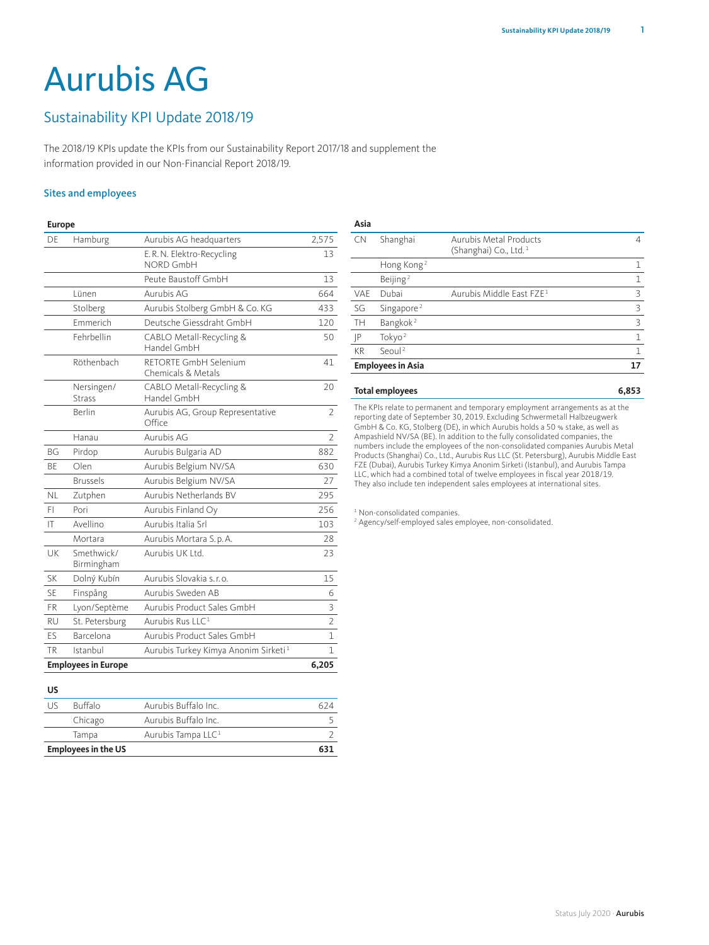# Aurubis AG

## Sustainability KPI Update 2018/19

The 2018/19 KPIs update the KPIs from our Sustainability Report 2017/18 and supplement the information provided in our Non-Financial Report 2018/19.

## Sites and employees

#### **Europe**

| DF        | Hamburg                     | Aurubis AG headquarters                          | 2,575          |
|-----------|-----------------------------|--------------------------------------------------|----------------|
|           |                             | E.R.N. Elektro-Recycling<br>NORD GmbH            | 13             |
|           |                             | Peute Baustoff GmbH                              | 13             |
|           | Lünen                       | Aurubis AG                                       | 664            |
|           | Stolberg                    | Aurubis Stolberg GmbH & Co. KG                   | 433            |
|           | <b>Fmmerich</b>             | Deutsche Giessdraht GmbH                         | 120            |
|           | Fehrbellin                  | CABLO Metall-Recycling &<br>Handel GmbH          | 50             |
|           | Röthenbach                  | RETORTE GmbH Selenium<br>Chemicals & Metals      | 41             |
|           | Nersingen/<br><b>Strass</b> | CABLO Metall-Recycling &<br>Handel GmbH          | 20             |
|           | <b>Berlin</b>               | Aurubis AG, Group Representative<br>Office       | $\mathfrak{D}$ |
|           | Hanau                       | Aurubis AG                                       | $\overline{2}$ |
| <b>BG</b> | Pirdop                      | Aurubis Bulgaria AD                              | 882            |
| <b>BF</b> | Olen                        | Aurubis Belgium NV/SA                            | 630            |
|           | <b>Brussels</b>             | Aurubis Belgium NV/SA                            | 27             |
| NI.       | Zutphen                     | Aurubis Netherlands BV                           | 295            |
| FI        | Pori                        | Aurubis Finland Oy                               | 256            |
| IT        | Avellino                    | Aurubis Italia Srl                               | 103            |
|           | Mortara                     | Aurubis Mortara S.p.A.                           | 28             |
| UK        | Smethwick/<br>Birmingham    | Aurubis UK Ltd.                                  | 23             |
| <b>SK</b> | Dolný Kubín                 | Aurubis Slovakia s.r.o.                          | 15             |
| <b>SF</b> | Finspång                    | Aurubis Sweden AB                                | 6              |
| <b>FR</b> | Lyon/Septème                | Aurubis Product Sales GmbH                       | 3              |
| <b>RU</b> | St. Petersburg              | Aurubis Rus LLC <sup>1</sup>                     | $\overline{2}$ |
| ES        | Barcelona                   | Aurubis Product Sales GmbH                       | 1              |
| <b>TR</b> | Istanbul                    | Aurubis Turkey Kimya Anonim Sirketi <sup>1</sup> | 1              |
|           | <b>Employees in Europe</b>  |                                                  | 6,205          |

| Aurubis Metal Products<br>Shanghai<br><b>CN</b><br>(Shanghai) Co., Ltd. <sup>1</sup><br>Hong Kong <sup>2</sup><br>Beijing <sup>2</sup><br>Aurubis Middle East FZE <sup>1</sup><br>Dubai<br>VAE<br>SG<br>Singapore <sup>2</sup><br>Bangkok <sup>2</sup><br>TH<br>Tokyo $2$<br> P<br>Seoul <sup>2</sup><br><b>KR</b> | <b>Employees in Asia</b> | 17 |
|--------------------------------------------------------------------------------------------------------------------------------------------------------------------------------------------------------------------------------------------------------------------------------------------------------------------|--------------------------|----|
|                                                                                                                                                                                                                                                                                                                    |                          | 1  |
|                                                                                                                                                                                                                                                                                                                    |                          | 1  |
|                                                                                                                                                                                                                                                                                                                    |                          | 3  |
|                                                                                                                                                                                                                                                                                                                    |                          | ζ  |
|                                                                                                                                                                                                                                                                                                                    |                          | 3  |
|                                                                                                                                                                                                                                                                                                                    |                          | 1  |
|                                                                                                                                                                                                                                                                                                                    |                          |    |
|                                                                                                                                                                                                                                                                                                                    |                          |    |

## **Total employees 6,853**

**Asia**

The KPIs relate to permanent and temporary employment arrangements as at the reporting date of September 30, 2019. Excluding Schwermetall Halbzeugwerk GmbH & Co. KG, Stolberg (DE), in which Aurubis holds a 50 % stake, as well as Ampashield NV/SA (BE). In addition to the fully consolidated companies, the numbers include the employees of the non-consolidated companies Aurubis Metal Products (Shanghai) Co., Ltd., Aurubis Rus LLC (St. Petersburg), Aurubis Middle East FZE (Dubai), Aurubis Turkey Kimya Anonim Sirketi (Istanbul), and Aurubis Tampa LLC, which had a combined total of twelve employees in fiscal year 2018/19. They also include ten independent sales employees at international sites.

<sup>1</sup> Non-consolidated companies.

2 Agency/self-employed sales employee, non-consolidated.

## **US**

|     | <b>Employees in the US</b> |                                |  |
|-----|----------------------------|--------------------------------|--|
|     | Tampa                      | Aurubis Tampa LLC <sup>1</sup> |  |
|     | Chicago                    | Aurubis Buffalo Inc.           |  |
| 115 | <b>Buffalo</b>             | Aurubis Buffalo Inc.           |  |
| ັ   |                            |                                |  |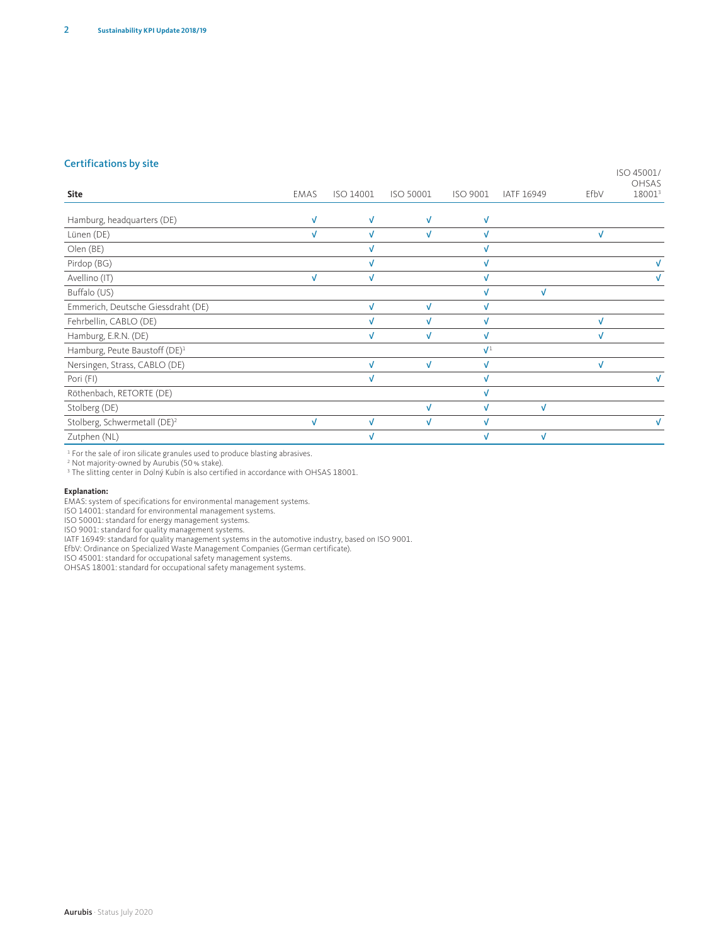#### Certifications by site

ISO 45001/ OHSAS

| Site                                      | <b>EMAS</b> | ISO 14001  | ISO 50001    | ISO 9001       | IATF 16949 | EfbV | -----<br>18001 <sup>3</sup> |
|-------------------------------------------|-------------|------------|--------------|----------------|------------|------|-----------------------------|
|                                           | V           | $\sqrt{ }$ | $\checkmark$ |                |            |      |                             |
| Hamburg, headquarters (DE)                |             |            |              | $\sqrt{ }$     |            |      |                             |
| Lünen (DE)                                | √           |            | $\sqrt{ }$   | $\sqrt{ }$     |            |      |                             |
| Olen (BE)                                 |             |            |              |                |            |      |                             |
| Pirdop (BG)                               |             | $\sqrt{ }$ |              | $\sqrt{ }$     |            |      |                             |
| Avellino (IT)                             | $\sqrt{ }$  | $\sqrt{ }$ |              | $\sqrt{ }$     |            |      |                             |
| Buffalo (US)                              |             |            |              | $\sqrt{ }$     | $\sqrt{ }$ |      |                             |
| Emmerich, Deutsche Giessdraht (DE)        |             | $\sqrt{ }$ | $\checkmark$ | $\sqrt{ }$     |            |      |                             |
| Fehrbellin, CABLO (DE)                    |             |            | v            |                |            |      |                             |
| Hamburg, E.R.N. (DE)                      |             | $\sqrt{ }$ | Ń            | $\sqrt{ }$     |            |      |                             |
| Hamburg, Peute Baustoff (DE) <sup>1</sup> |             |            |              | $\mathbf{V}^1$ |            |      |                             |
| Nersingen, Strass, CABLO (DE)             |             | $\sqrt{ }$ | $\sqrt{ }$   | $\sqrt{ }$     |            | V    |                             |
| Pori (FI)                                 |             |            |              | $\sqrt{ }$     |            |      |                             |
| Röthenbach, RETORTE (DE)                  |             |            |              |                |            |      |                             |
| Stolberg (DE)                             |             |            | $\sqrt{ }$   | $\sqrt{ }$     | $\sqrt{ }$ |      |                             |
| Stolberg, Schwermetall (DE) <sup>2</sup>  | V           | $\sqrt{ }$ | V            | $\sqrt{ }$     |            |      | V                           |
| Zutphen (NL)                              |             |            |              | $\sqrt{ }$     | V          |      |                             |
|                                           |             |            |              |                |            |      |                             |

1 For the sale of iron silicate granules used to produce blasting abrasives. 2 Not majority-owned by Aurubis (50% stake).

<sup>3</sup> The slitting center in Dolný Kubín is also certified in accordance with OHSAS 18001.

#### **Explanation:**

EMAS: system of specifications for environmental management systems.

ISO 14001: standard for environmental management systems.

ISO 50001: standard for energy management systems.

ISO 9001: standard for quality management systems.

IATF 16949: standard for quality management systems in the automotive industry, based on ISO 9001.<br>EfbV: Ordinance on Specialized Waste Management Companies (German certificate).<br>ISO 45001: standard for occupational safety

OHSAS 18001: standard for occupational safety management systems.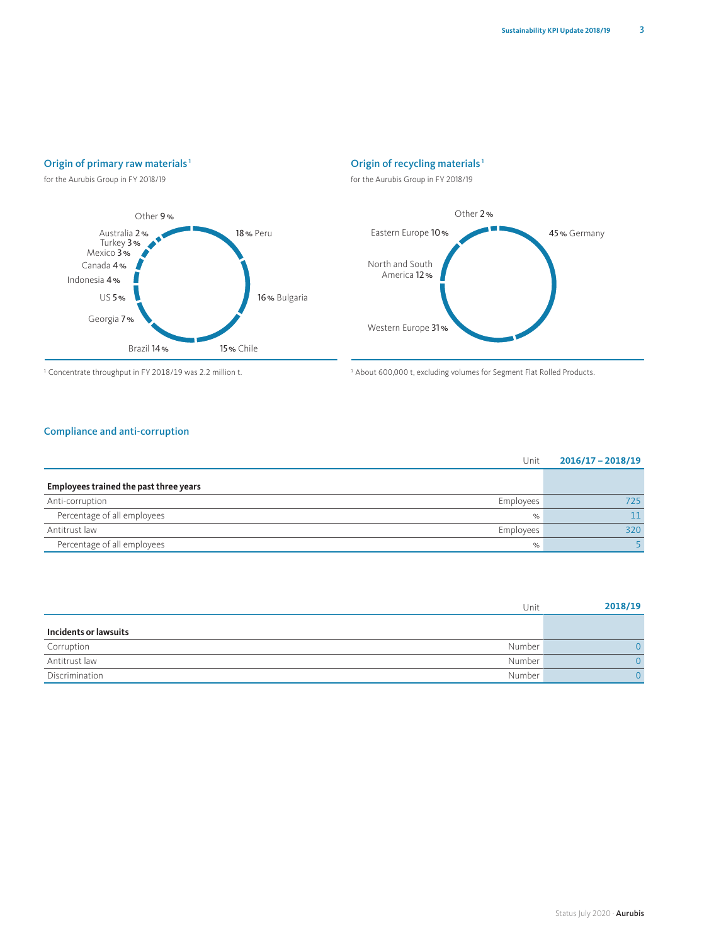## Origin of primary raw materials<sup>1</sup>

for the Aurubis Group in FY 2018/19



## Origin of recycling materials <sup>1</sup>

for the Aurubis Group in FY 2018/19



<sup>1</sup> Concentrate throughput in FY 2018/19 was 2.2 million t. 1 About 600,000 t, excluding volumes for Segment Flat Rolled Products.

### Compliance and anti-corruption

| Unit                                         | $2016/17 - 2018/19$ |
|----------------------------------------------|---------------------|
| Employees trained the past three years       |                     |
| Anti-corruption<br>Employees                 | 725.                |
| Percentage of all employees<br>$\%$          |                     |
| Antitrust law<br>Employees                   | 320                 |
| Percentage of all employees<br>$\frac{1}{2}$ |                     |

| Unit                     | 2018/19 |
|--------------------------|---------|
| Incidents or lawsuits    |         |
| Number<br>Corruption     |         |
| Antitrust law<br>Number  |         |
| Number<br>Discrimination |         |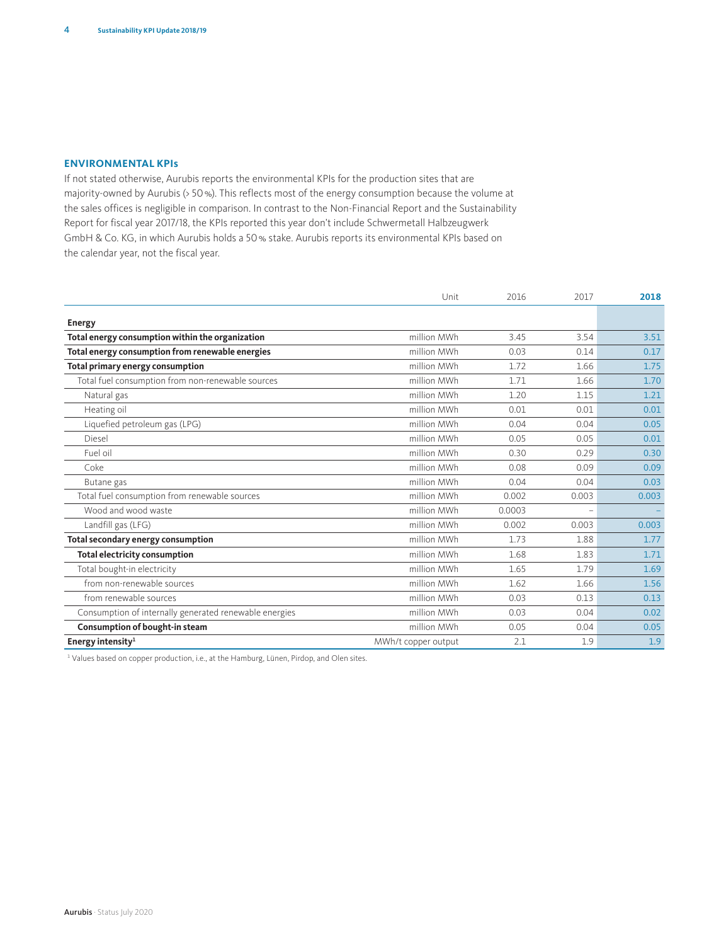## **ENVIRONMENTAL KPIs**

If not stated otherwise, Aurubis reports the environmental KPIs for the production sites that are majority-owned by Aurubis (> 50%). This reflects most of the energy consumption because the volume at the sales offices is negligible in comparison. In contrast to the Non-Financial Report and the Sustainability Report for fiscal year 2017/18, the KPIs reported this year don't include Schwermetall Halbzeugwerk GmbH & Co. KG, in which Aurubis holds a 50% stake. Aurubis reports its environmental KPIs based on the calendar year, not the fiscal year.

|                                                        | Unit                | 2016   | 2017                     | 2018  |
|--------------------------------------------------------|---------------------|--------|--------------------------|-------|
| <b>Energy</b>                                          |                     |        |                          |       |
| Total energy consumption within the organization       | million MWh         | 3.45   | 3.54                     | 3.51  |
| Total energy consumption from renewable energies       | million MWh         | 0.03   | 0.14                     | 0.17  |
| Total primary energy consumption                       | million MWh         | 1.72   | 1.66                     | 1.75  |
| Total fuel consumption from non-renewable sources      | million MWh         | 1.71   | 1.66                     | 1.70  |
| Natural gas                                            | million MWh         | 1.20   | 1.15                     | 1.21  |
| Heating oil                                            | million MWh         | 0.01   | 0.01                     | 0.01  |
| Liquefied petroleum gas (LPG)                          | million MWh         | 0.04   | 0.04                     | 0.05  |
| Diesel                                                 | million MWh         | 0.05   | 0.05                     | 0.01  |
| Fuel oil                                               | million MWh         | 0.30   | 0.29                     | 0.30  |
| Coke                                                   | million MWh         | 0.08   | 0.09                     | 0.09  |
| Butane gas                                             | million MWh         | 0.04   | 0.04                     | 0.03  |
| Total fuel consumption from renewable sources          | million MWh         | 0.002  | 0.003                    | 0.003 |
| Wood and wood waste                                    | million MWh         | 0.0003 | $\overline{\phantom{a}}$ |       |
| Landfill gas (LFG)                                     | million MWh         | 0.002  | 0.003                    | 0.003 |
| Total secondary energy consumption                     | million MWh         | 1.73   | 1.88                     | 1.77  |
| <b>Total electricity consumption</b>                   | million MWh         | 1.68   | 1.83                     | 1.71  |
| Total bought-in electricity                            | million MWh         | 1.65   | 1.79                     | 1.69  |
| from non-renewable sources                             | million MWh         | 1.62   | 1.66                     | 1.56  |
| from renewable sources                                 | million MWh         | 0.03   | 0.13                     | 0.13  |
| Consumption of internally generated renewable energies | million MWh         | 0.03   | 0.04                     | 0.02  |
| Consumption of bought-in steam                         | million MWh         | 0.05   | 0.04                     | 0.05  |
| Energy intensity <sup>1</sup>                          | MWh/t copper output | 2.1    | 1.9                      | 1.9   |

<sup>1</sup> Values based on copper production, i.e., at the Hamburg, Lünen, Pirdop, and Olen sites.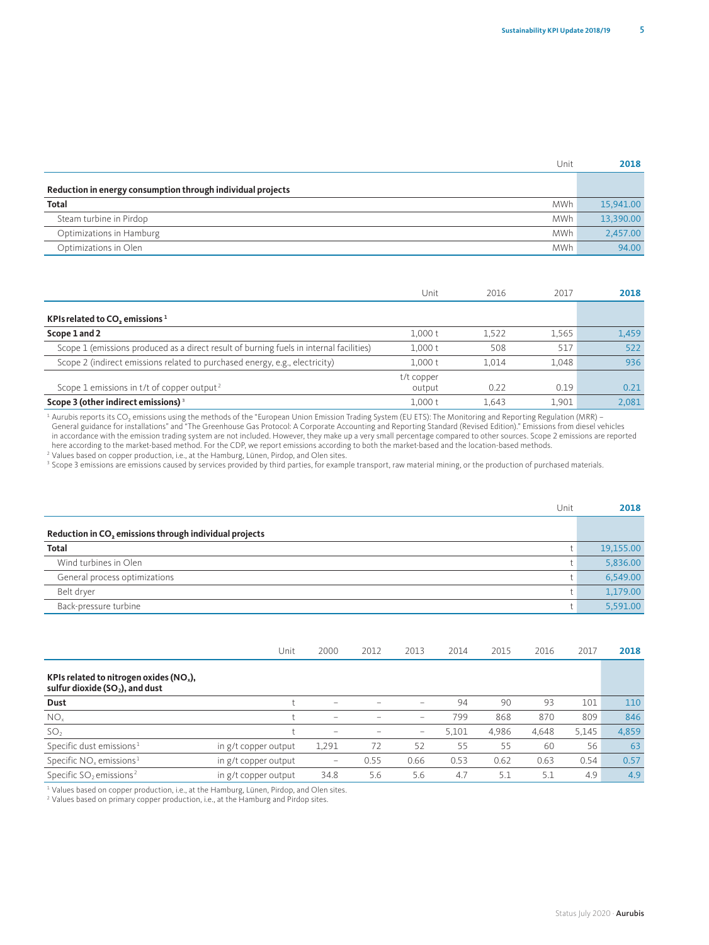| Unit                                                        | 2018      |
|-------------------------------------------------------------|-----------|
| Reduction in energy consumption through individual projects |           |
| <b>Total</b><br><b>MWh</b>                                  | 15,941.00 |
| <b>MWh</b><br>Steam turbine in Pirdop                       | 13,390.00 |
| Optimizations in Hamburg<br><b>MWh</b>                      | 2.457.00  |
| <b>MWh</b><br>Optimizations in Olen                         | 94.00     |

|                                                                                         | Unit                 | 2016  | 2017  | 2018  |
|-----------------------------------------------------------------------------------------|----------------------|-------|-------|-------|
| KPIs related to CO <sub>2</sub> emissions <sup>1</sup>                                  |                      |       |       |       |
| Scope 1 and 2                                                                           | 1,000t               | 1.522 | 1.565 | 1,459 |
| Scope 1 (emissions produced as a direct result of burning fuels in internal facilities) | 1.000t               | 508   | 517   | 522   |
| Scope 2 (indirect emissions related to purchased energy, e.g., electricity)             | 1,000t               | 1.014 | 1.048 | 936   |
| Scope 1 emissions in $t/t$ of copper output <sup>2</sup>                                | t/t copper<br>output | 0.22  | 0.19  | 0.21  |
| Scope 3 (other indirect emissions) <sup>3</sup>                                         | 1.000t               | 1.643 | 1.901 | 2.081 |

<sup>1</sup> Aurubis reports its CO<sub>2</sub> emissions using the methods of the "European Union Emission Trading System (EU ETS): The Monitoring and Reporting Regulation (MRR) –<br>
General guidance for installations" and "The Greenhouse G

| Unit                                                   | 2018      |
|--------------------------------------------------------|-----------|
| Reduction in CO, emissions through individual projects |           |
| <b>Total</b>                                           | 19,155.00 |
| Wind turbines in Olen                                  | 5,836.00  |
| General process optimizations                          | 6,549.00  |
| Belt dryer                                             | 1,179.00  |
| Back-pressure turbine                                  | 5.591.00  |

|                                                                                 | Unit                 | 2000                     | 2012 | 2013                     | 2014  | 2015  | 2016  | 2017  | 2018  |
|---------------------------------------------------------------------------------|----------------------|--------------------------|------|--------------------------|-------|-------|-------|-------|-------|
| KPIs related to nitrogen oxides ( $NOx$ ),<br>sulfur dioxide $(SO2)$ , and dust |                      |                          |      |                          |       |       |       |       |       |
| Dust                                                                            |                      | $\overline{\phantom{a}}$ |      | -                        | 94    | 90    | 93    | 101   | 110   |
| NO <sub>x</sub>                                                                 |                      | $\overline{\phantom{0}}$ | -    | $\overline{\phantom{a}}$ | 799   | 868   | 870   | 809   | 846   |
| SO <sub>2</sub>                                                                 |                      | $\overline{\phantom{a}}$ |      | $\hspace{0.05cm}$        | 5.101 | 4,986 | 4,648 | 5.145 | 4,859 |
| Specific dust emissions <sup>1</sup>                                            | in g/t copper output | 1,291                    | 72   | 52                       | 55    | 55    | 60    | 56    | 63    |
| Specific $NOx$ emissions <sup>1</sup>                                           | in g/t copper output | -                        | 0.55 | 0.66                     | 0.53  | 0.62  | 0.63  | 0.54  | 0.57  |
| Specific SO <sub>2</sub> emissions <sup>2</sup>                                 | in g/t copper output | 34.8                     | 5.6  | 5.6                      | 4.7   | 5.1   | 5.1   | 4.9   | 4.9   |

<sup>1</sup> Values based on copper production, i.e., at the Hamburg, Lünen, Pirdop, and Olen sites.

<sup>2</sup> Values based on primary copper production, i.e., at the Hamburg and Pirdop sites.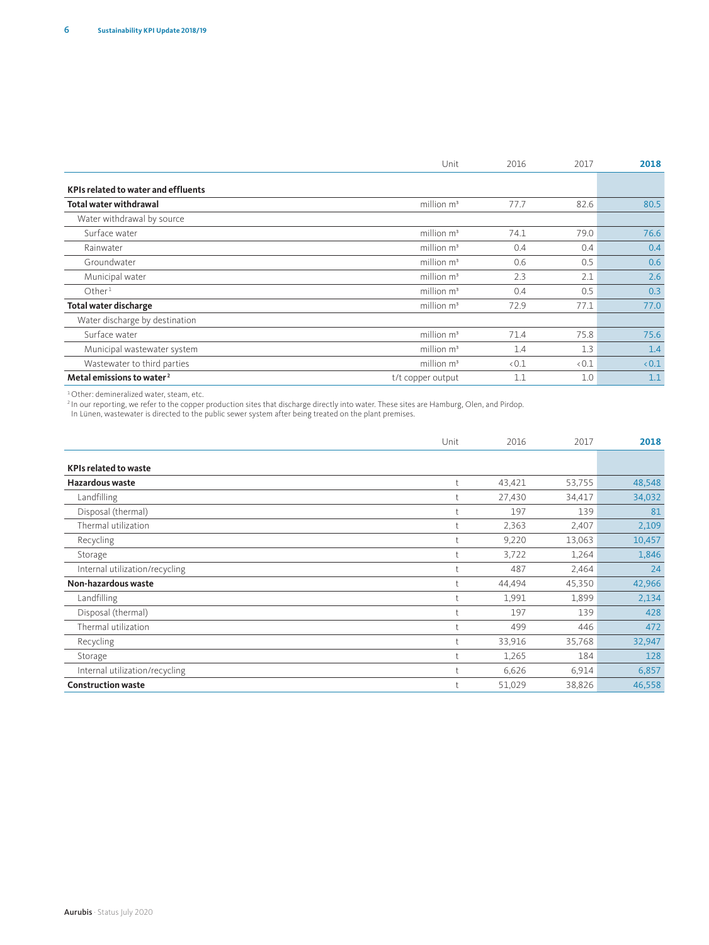|                                            | Unit              | 2016 | 2017 | 2018 |
|--------------------------------------------|-------------------|------|------|------|
| <b>KPIs related to water and effluents</b> |                   |      |      |      |
| <b>Total water withdrawal</b>              | million $m^3$     | 77.7 | 82.6 | 80.5 |
| Water withdrawal by source                 |                   |      |      |      |
| Surface water                              | million $m^3$     | 74.1 | 79.0 | 76.6 |
| Rainwater                                  | million $m^3$     | 0.4  | 0.4  | 0.4  |
| Groundwater                                | million $m3$      | 0.6  | 0.5  | 0.6  |
| Municipal water                            | million $m^3$     | 2.3  | 2.1  | 2.6  |
| Other <sup>1</sup>                         | million $m^3$     | 0.4  | 0.5  | 0.3  |
| <b>Total water discharge</b>               | million $m3$      | 72.9 | 77.1 | 77.0 |
| Water discharge by destination             |                   |      |      |      |
| Surface water                              | million $m^3$     | 71.4 | 75.8 | 75.6 |
| Municipal wastewater system                | million $m3$      | 1.4  | 1.3  | 1.4  |
| Wastewater to third parties                | million $m^3$     | 0.1  | 0.1  | &0.1 |
| Metal emissions to water <sup>2</sup>      | t/t copper output | 1.1  | 1.0  | 1.1  |

1Other: demineralized water, steam, etc.

<sup>2</sup> In our reporting, we refer to the copper production sites that discharge directly into water. These sites are Hamburg, Olen, and Pirdop.

In Lünen, wastewater is directed to the public sewer system after being treated on the plant premises.

|                                | Unit | 2016   | 2017   | 2018   |
|--------------------------------|------|--------|--------|--------|
| <b>KPIs related to waste</b>   |      |        |        |        |
| Hazardous waste                |      | 43,421 | 53,755 | 48,548 |
|                                |      |        |        |        |
| Landfilling                    |      | 27,430 | 34,417 | 34,032 |
| Disposal (thermal)             |      | 197    | 139    | 81     |
| Thermal utilization            |      | 2,363  | 2,407  | 2,109  |
| Recycling                      |      | 9,220  | 13,063 | 10,457 |
| Storage                        |      | 3,722  | 1,264  | 1,846  |
| Internal utilization/recycling |      | 487    | 2,464  | 24     |
| Non-hazardous waste            |      | 44,494 | 45,350 | 42,966 |
| Landfilling                    |      | 1,991  | 1,899  | 2,134  |
| Disposal (thermal)             |      | 197    | 139    | 428    |
| Thermal utilization            |      | 499    | 446    | 472    |
| Recycling                      |      | 33,916 | 35,768 | 32,947 |
| Storage                        |      | 1,265  | 184    | 128    |
| Internal utilization/recycling |      | 6,626  | 6,914  | 6,857  |
| <b>Construction waste</b>      |      | 51,029 | 38,826 | 46,558 |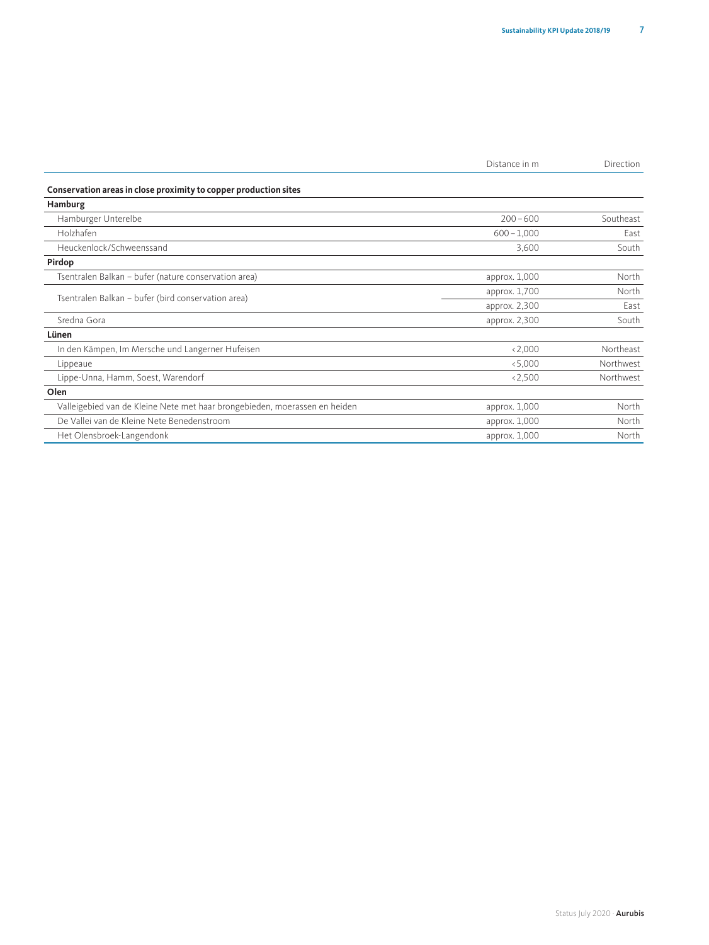| Direction |
|-----------|
|           |

**Conservation areas in close proximity to copper production sites**

| Hamburg                                                                    |               |           |
|----------------------------------------------------------------------------|---------------|-----------|
| Hamburger Unterelbe                                                        | $200 - 600$   | Southeast |
| Holzhafen                                                                  | $600 - 1,000$ | East      |
| Heuckenlock/Schweenssand                                                   | 3,600         | South     |
| Pirdop                                                                     |               |           |
| Tsentralen Balkan - bufer (nature conservation area)                       | approx. 1,000 | North     |
|                                                                            | approx. 1,700 | North     |
| Tsentralen Balkan - bufer (bird conservation area)                         | approx. 2,300 | East      |
| Sredna Gora                                                                | approx. 2,300 | South     |
| Lünen                                                                      |               |           |
| In den Kämpen, Im Mersche und Langerner Hufeisen                           | < 2,000       | Northeast |
| Lippeaue                                                                   | < 5,000       | Northwest |
| Lippe-Unna, Hamm, Soest, Warendorf                                         | < 2,500       | Northwest |
| Olen                                                                       |               |           |
| Valleigebied van de Kleine Nete met haar brongebieden, moerassen en heiden | approx. 1,000 | North     |
| De Vallei van de Kleine Nete Benedenstroom                                 | approx. 1,000 | North     |
| Het Olensbroek-Langendonk                                                  | approx. 1,000 | North     |
|                                                                            |               |           |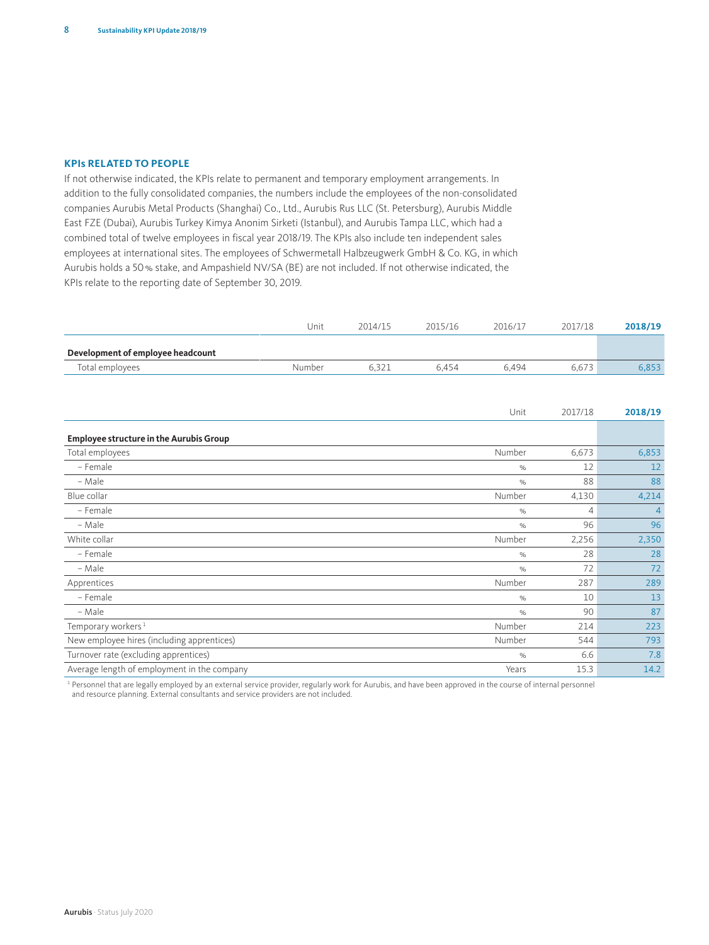### **KPIs RELATED TO PEOPLE**

If not otherwise indicated, the KPIs relate to permanent and temporary employment arrangements. In addition to the fully consolidated companies, the numbers include the employees of the non-consolidated companies Aurubis Metal Products (Shanghai) Co., Ltd., Aurubis Rus LLC (St. Petersburg), Aurubis Middle East FZE (Dubai), Aurubis Turkey Kimya Anonim Sirketi (Istanbul), and Aurubis Tampa LLC, which had a combined total of twelve employees in fiscal year 2018/19. The KPIs also include ten independent sales employees at international sites. The employees of Schwermetall Halbzeugwerk GmbH & Co. KG, in which Aurubis holds a 50% stake, and Ampashield NV/SA (BE) are not included. If not otherwise indicated, the KPIs relate to the reporting date of September 30, 2019.

|                                                | Unit   | 2014/15 | 2015/16 | 2016/17 | 2017/18        | 2018/19        |
|------------------------------------------------|--------|---------|---------|---------|----------------|----------------|
| Development of employee headcount              |        |         |         |         |                |                |
| Total employees                                | Number | 6,321   | 6,454   | 6,494   | 6,673          | 6,853          |
|                                                |        |         |         |         |                |                |
|                                                |        |         |         |         |                |                |
|                                                |        |         |         | Unit    | 2017/18        | 2018/19        |
| <b>Employee structure in the Aurubis Group</b> |        |         |         |         |                |                |
| Total employees                                |        |         |         | Number  | 6,673          | 6,853          |
| - Female                                       |        |         |         | $\%$    | 12             | 12             |
| - Male                                         |        |         |         | $\%$    | 88             | 88             |
| Blue collar                                    |        |         |         | Number  | 4,130          | 4,214          |
| - Female                                       |        |         |         | $\%$    | $\overline{4}$ | $\overline{4}$ |
| - Male                                         |        |         |         | $\%$    | 96             | 96             |
| White collar                                   |        |         |         | Number  | 2,256          | 2,350          |
| - Female                                       |        |         |         | $\%$    | 28             | 28             |
| - Male                                         |        |         |         | $\%$    | 72             | 72             |
| Apprentices                                    |        |         |         | Number  | 287            | 289            |
| - Female                                       |        |         |         | $\%$    | 10             | 13             |
| - Male                                         |        |         |         | $\%$    | 90             | 87             |
| Temporary workers <sup>1</sup>                 |        |         |         | Number  | 214            | 223            |
| New employee hires (including apprentices)     |        |         |         | Number  | 544            | 793            |
| Turnover rate (excluding apprentices)          |        |         |         | $\%$    | 6.6            | 7.8            |
| Average length of employment in the company    |        |         |         | Years   | 15.3           | 14.2           |

<sup>1</sup> Personnel that are legally employed by an external service provider, regularly work for Aurubis, and have been approved in the course of internal personnel and resource planning. External consultants and service providers are not included.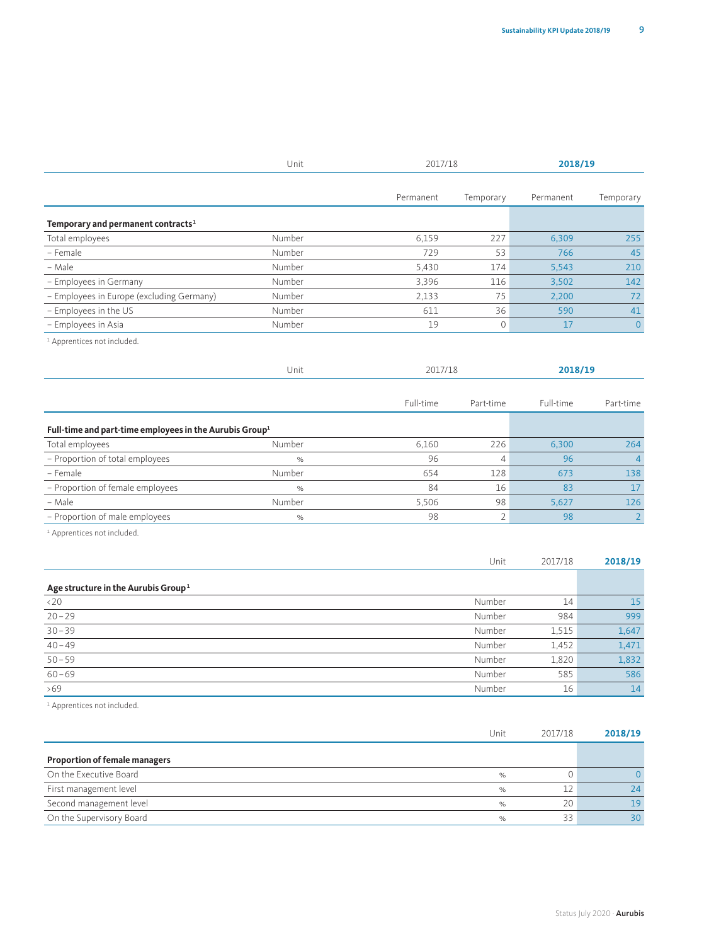|                                                                     | Unit          | 2017/18   |                | 2018/19   |                |  |
|---------------------------------------------------------------------|---------------|-----------|----------------|-----------|----------------|--|
|                                                                     |               | Permanent | Temporary      | Permanent | Temporary      |  |
|                                                                     |               |           |                |           |                |  |
| Temporary and permanent contracts <sup>1</sup>                      |               |           |                |           |                |  |
| Total employees                                                     | Number        | 6.159     | 227            | 6.309     | 255            |  |
| - Female                                                            | Number        | 729       | 53             | 766       | 45             |  |
| - Male                                                              | Number        | 5,430     | 174            | 5,543     | 210            |  |
| - Employees in Germany                                              | Number        | 3,396     | 116            | 3,502     | 142            |  |
| - Employees in Europe (excluding Germany)                           | Number        | 2,133     | 75             | 2,200     | 72             |  |
| - Employees in the US                                               | Number        | 611       | 36             | 590       | 41             |  |
| - Employees in Asia                                                 | Number        | 19        | 0              | 17        | $\mathbf{0}$   |  |
| <sup>1</sup> Apprentices not included.                              |               |           |                |           |                |  |
|                                                                     |               |           |                |           |                |  |
|                                                                     | Unit          | 2017/18   |                | 2018/19   |                |  |
|                                                                     |               |           |                |           |                |  |
|                                                                     |               | Full-time | Part-time      | Full-time | Part-time      |  |
| Full-time and part-time employees in the Aurubis Group <sup>1</sup> |               |           |                |           |                |  |
| Total employees                                                     | Number        | 6,160     | 226            | 6,300     | 264            |  |
| - Proportion of total employees                                     | $\frac{1}{2}$ | 96        | $\overline{4}$ | 96        | $\overline{4}$ |  |
| - Female                                                            | Number        | 654       | 128            | 673       | 138            |  |
| - Proportion of female employees                                    | $\%$          | 84        | 16             | 83        | 17             |  |
| – Male                                                              | Number        | 5,506     | 98             | 5,627     | 126            |  |
| - Proportion of male employees                                      | $\%$          | 98        | $\overline{2}$ | 98        | $\overline{2}$ |  |
| <sup>1</sup> Apprentices not included.                              |               |           |                |           |                |  |

|                                                 | Unit   | 2017/18 | 2018/19 |
|-------------------------------------------------|--------|---------|---------|
| Age structure in the Aurubis Group <sup>1</sup> |        |         |         |
| $\langle 20$                                    | Number | 14      | 15      |
| $20 - 29$                                       | Number | 984     | 999     |
| $30 - 39$                                       | Number | 1,515   | 1,647   |
| $40 - 49$                                       | Number | 1,452   | 1,471   |
| $50 - 59$                                       | Number | 1,820   | 1,832   |
| $60 - 69$                                       | Number | 585     | 586     |
| >69                                             | Number | 16      | 14      |

<sup>1</sup> Apprentices not included.

|                                      | Unit          | 2017/18 | 2018/19 |
|--------------------------------------|---------------|---------|---------|
| <b>Proportion of female managers</b> |               |         |         |
|                                      |               |         |         |
| On the Executive Board               | $\frac{1}{2}$ |         |         |
| First management level               | $\%$          |         | 24      |
| Second management level              | $\frac{1}{2}$ | 20      | 19      |
| On the Supervisory Board             | $\frac{1}{2}$ | 22      | 30      |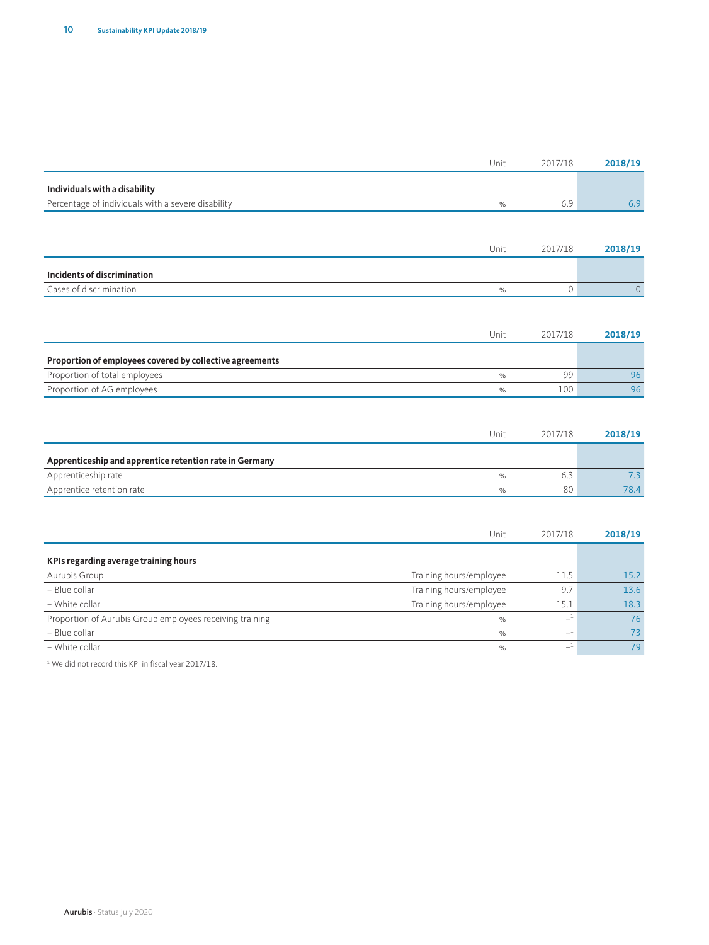|                                                    | Unit          | 2017/18 | 2018/19 |
|----------------------------------------------------|---------------|---------|---------|
| Individuals with a disability                      |               |         |         |
| Percentage of individuals with a severe disability | $O/_{\alpha}$ |         |         |

|                             | Unit        | 2017/18 | 2018/19 |
|-----------------------------|-------------|---------|---------|
| Incidents of discrimination |             |         |         |
| Cases of discrimination     | $O/_{\sim}$ |         |         |

|                                                          | Unit         | 2017/18 | 2018/19 |
|----------------------------------------------------------|--------------|---------|---------|
| Proportion of employees covered by collective agreements |              |         |         |
| Proportion of total employees                            | $O_{\alpha}$ | ۹Q      | 96      |
| Proportion of AG employees                               |              | 100     | 96      |

|                                                         | Unit         | 2017/18 | 2018/19 |
|---------------------------------------------------------|--------------|---------|---------|
| Apprenticeship and apprentice retention rate in Germany |              |         |         |
| Apprenticeship rate                                     | $O_{\alpha}$ |         |         |
| Apprentice retention rate                               | $O_{\alpha}$ | 80      | 78.4    |

|                                                          | Unit                    | 2017/18 | 2018/19 |
|----------------------------------------------------------|-------------------------|---------|---------|
| KPIs regarding average training hours                    |                         |         |         |
| Aurubis Group                                            | Training hours/employee | 11.5    | 15.2    |
| - Blue collar                                            | Training hours/employee | 9.7     | 13.6    |
| - White collar                                           | Training hours/employee | 15.1    | 18.3    |
| Proportion of Aurubis Group employees receiving training | $\%$                    |         | 76      |
| - Blue collar                                            | $\%$                    | $^{-1}$ | 73      |
| - White collar                                           | $\%$                    | --      | 79      |

<sup>1</sup> We did not record this KPI in fiscal year 2017/18.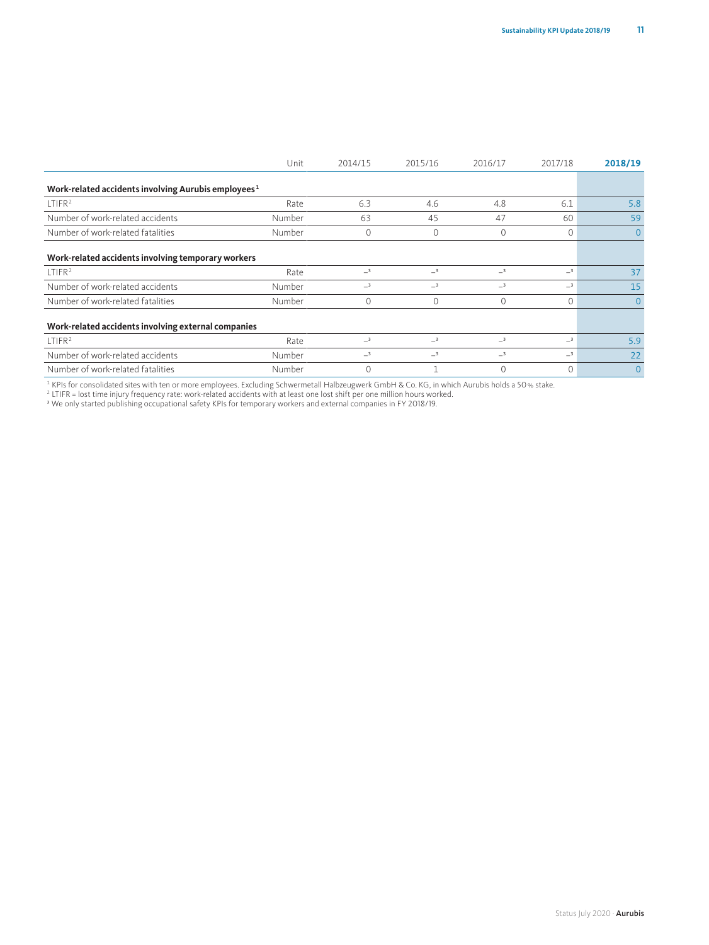|                                                                 | Unit   | 2014/15      | 2015/16     | 2016/17  | 2017/18  | 2018/19      |
|-----------------------------------------------------------------|--------|--------------|-------------|----------|----------|--------------|
| Work-related accidents involving Aurubis employees <sup>1</sup> |        |              |             |          |          |              |
| LTIFR <sup>2</sup>                                              | Rate   | 6.3          | 4.6         | 4.8      | 6.1      | 5.8          |
| Number of work-related accidents                                | Number | 63           | 45          | 47       | 60       | 59           |
| Number of work-related fatalities                               | Number | $\mathbf{0}$ | $\mathbf 0$ | 0        | $\Omega$ | $\mathbf{0}$ |
| Work-related accidents involving temporary workers              |        |              |             |          |          |              |
| LTIFR <sup>2</sup>                                              | Rate   | $-3$         | $-3$        | $-3$     | $-3$     | 37           |
| Number of work-related accidents                                | Number | $-3$         | $-3$        | $-3$     | $-3$     | 15           |
| Number of work-related fatalities                               | Number | $\mathbf{0}$ | $\mathbf 0$ | $\Omega$ | 0        | $\mathbf{0}$ |
| Work-related accidents involving external companies             |        |              |             |          |          |              |
| LTIFR <sup>2</sup>                                              | Rate   | $-3$         | $-3$        | $-3$     | $-3$     | 5.9          |
| Number of work-related accidents                                | Number | $-3$         | $-3$        | $-3$     | $-3$     | 22           |
| Number of work-related fatalities                               | Number | 0            |             | 0        | 0        | $\mathbf{0}$ |

1 KPIs for consolidated sites with ten or more employees. Excluding Schwermetall Halbzeugwerk GmbH & Co. KG, in which Aurubis holds a 50 % stake.<br><sup>2</sup> LTIFR = lost time injury frequency rate: work-related accidents with at